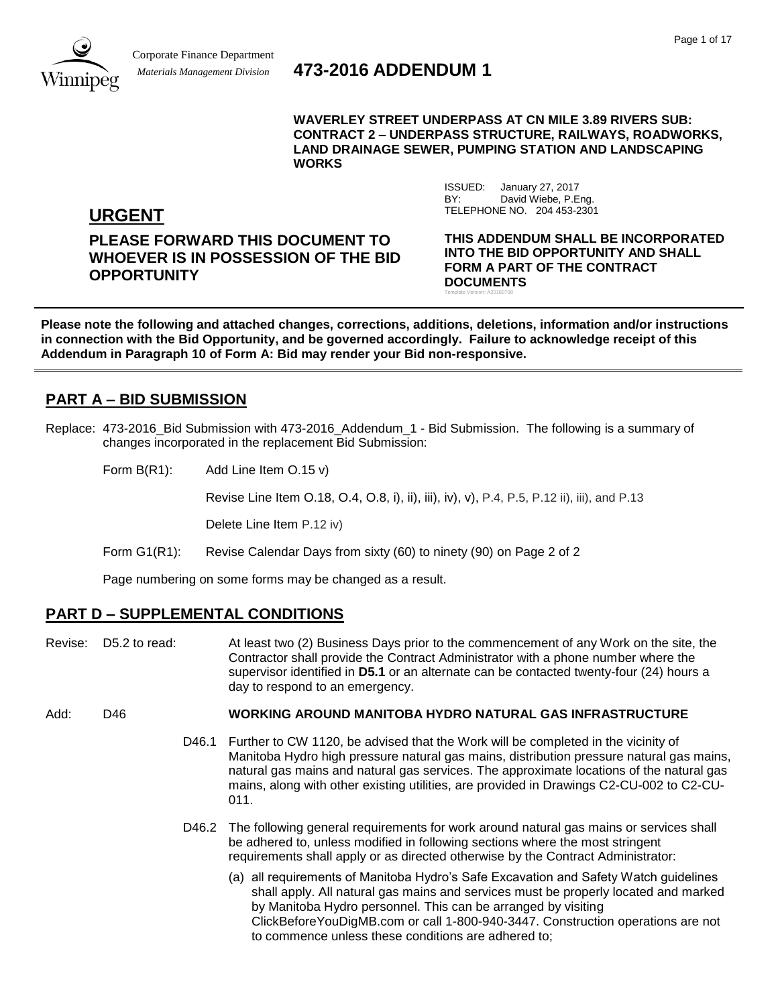

# *Materials Management Division* **473-2016 ADDENDUM 1**

**WAVERLEY STREET UNDERPASS AT CN MILE 3.89 RIVERS SUB: CONTRACT 2 – UNDERPASS STRUCTURE, RAILWAYS, ROADWORKS, LAND DRAINAGE SEWER, PUMPING STATION AND LANDSCAPING WORKS**

> ISSUED: January 27, 2017 BY: David Wiebe, P.Eng.

Template Version: A20160708

TELEPHONE NO. 204 453-2301

**URGENT**

**PLEASE FORWARD THIS DOCUMENT TO WHOEVER IS IN POSSESSION OF THE BID OPPORTUNITY**

**THIS ADDENDUM SHALL BE INCORPORATED INTO THE BID OPPORTUNITY AND SHALL FORM A PART OF THE CONTRACT DOCUMENTS**

**Please note the following and attached changes, corrections, additions, deletions, information and/or instructions in connection with the Bid Opportunity, and be governed accordingly. Failure to acknowledge receipt of this Addendum in Paragraph 10 of Form A: Bid may render your Bid non-responsive.**

## **PART A – BID SUBMISSION**

- Replace: 473-2016\_Bid Submission with 473-2016\_Addendum\_1 Bid Submission. The following is a summary of changes incorporated in the replacement Bid Submission:
	- Form B(R1): Add Line Item O.15 v)

Revise Line Item O.18, O.4, O.8, i), ii), iii), iv), v), P.4, P.5, P.12 ii), iii), and P.13

Delete Line Item P.12 iv)

Form G1(R1): Revise Calendar Days from sixty (60) to ninety (90) on Page 2 of 2

Page numbering on some forms may be changed as a result.

## **PART D – SUPPLEMENTAL CONDITIONS**

Revise: D5.2 to read: At least two (2) Business Days prior to the commencement of any Work on the site, the Contractor shall provide the Contract Administrator with a phone number where the supervisor identified in **D5.1** or an alternate can be contacted twenty-four (24) hours a day to respond to an emergency.

#### Add: D46 **WORKING AROUND MANITOBA HYDRO NATURAL GAS INFRASTRUCTURE**

- D46.1 Further to CW 1120, be advised that the Work will be completed in the vicinity of Manitoba Hydro high pressure natural gas mains, distribution pressure natural gas mains, natural gas mains and natural gas services. The approximate locations of the natural gas mains, along with other existing utilities, are provided in Drawings C2-CU-002 to C2-CU-011.
- D46.2 The following general requirements for work around natural gas mains or services shall be adhered to, unless modified in following sections where the most stringent requirements shall apply or as directed otherwise by the Contract Administrator:
	- (a) all requirements of Manitoba Hydro's Safe Excavation and Safety Watch guidelines shall apply. All natural gas mains and services must be properly located and marked by Manitoba Hydro personnel. This can be arranged by visiting ClickBeforeYouDigMB.com or call 1-800-940-3447. Construction operations are not to commence unless these conditions are adhered to;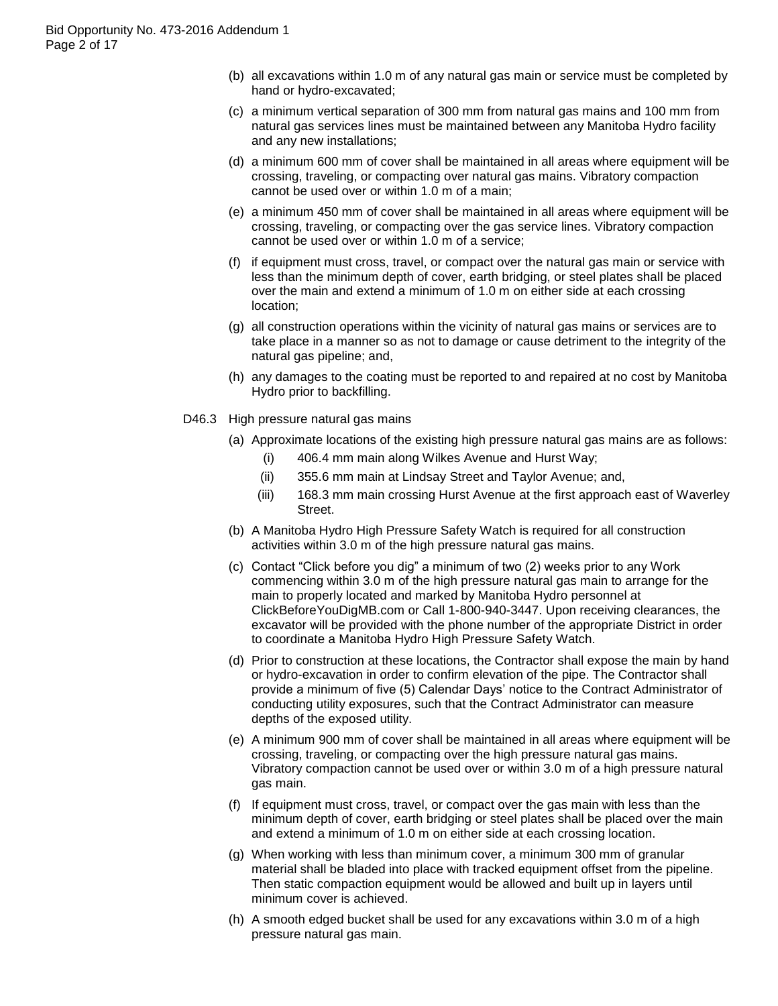- (b) all excavations within 1.0 m of any natural gas main or service must be completed by hand or hydro-excavated;
- (c) a minimum vertical separation of 300 mm from natural gas mains and 100 mm from natural gas services lines must be maintained between any Manitoba Hydro facility and any new installations;
- (d) a minimum 600 mm of cover shall be maintained in all areas where equipment will be crossing, traveling, or compacting over natural gas mains. Vibratory compaction cannot be used over or within 1.0 m of a main;
- (e) a minimum 450 mm of cover shall be maintained in all areas where equipment will be crossing, traveling, or compacting over the gas service lines. Vibratory compaction cannot be used over or within 1.0 m of a service;
- (f) if equipment must cross, travel, or compact over the natural gas main or service with less than the minimum depth of cover, earth bridging, or steel plates shall be placed over the main and extend a minimum of 1.0 m on either side at each crossing location;
- (g) all construction operations within the vicinity of natural gas mains or services are to take place in a manner so as not to damage or cause detriment to the integrity of the natural gas pipeline; and,
- (h) any damages to the coating must be reported to and repaired at no cost by Manitoba Hydro prior to backfilling.
- D46.3 High pressure natural gas mains
	- (a) Approximate locations of the existing high pressure natural gas mains are as follows:
		- (i) 406.4 mm main along Wilkes Avenue and Hurst Way;
		- (ii) 355.6 mm main at Lindsay Street and Taylor Avenue; and,
		- (iii) 168.3 mm main crossing Hurst Avenue at the first approach east of Waverley Street.
	- (b) A Manitoba Hydro High Pressure Safety Watch is required for all construction activities within 3.0 m of the high pressure natural gas mains.
	- (c) Contact "Click before you dig" a minimum of two (2) weeks prior to any Work commencing within 3.0 m of the high pressure natural gas main to arrange for the main to properly located and marked by Manitoba Hydro personnel at ClickBeforeYouDigMB.com or Call 1-800-940-3447. Upon receiving clearances, the excavator will be provided with the phone number of the appropriate District in order to coordinate a Manitoba Hydro High Pressure Safety Watch.
	- (d) Prior to construction at these locations, the Contractor shall expose the main by hand or hydro-excavation in order to confirm elevation of the pipe. The Contractor shall provide a minimum of five (5) Calendar Days' notice to the Contract Administrator of conducting utility exposures, such that the Contract Administrator can measure depths of the exposed utility.
	- (e) A minimum 900 mm of cover shall be maintained in all areas where equipment will be crossing, traveling, or compacting over the high pressure natural gas mains. Vibratory compaction cannot be used over or within 3.0 m of a high pressure natural gas main.
	- (f) If equipment must cross, travel, or compact over the gas main with less than the minimum depth of cover, earth bridging or steel plates shall be placed over the main and extend a minimum of 1.0 m on either side at each crossing location.
	- (g) When working with less than minimum cover, a minimum 300 mm of granular material shall be bladed into place with tracked equipment offset from the pipeline. Then static compaction equipment would be allowed and built up in layers until minimum cover is achieved.
	- (h) A smooth edged bucket shall be used for any excavations within 3.0 m of a high pressure natural gas main.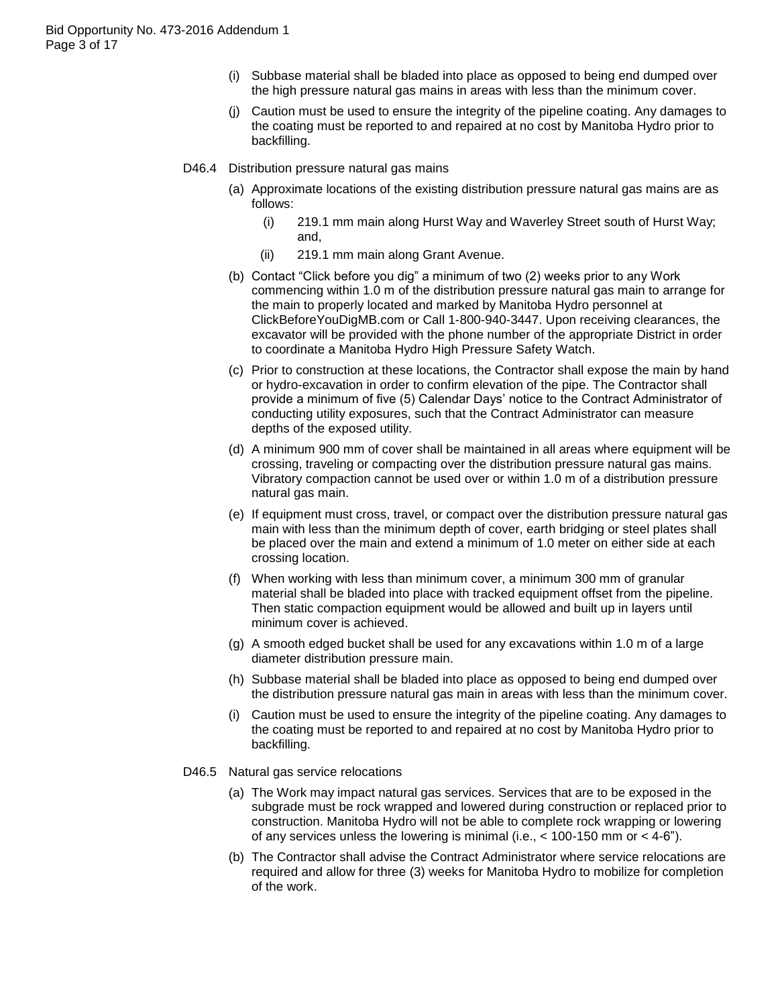- (i) Subbase material shall be bladed into place as opposed to being end dumped over the high pressure natural gas mains in areas with less than the minimum cover.
- (j) Caution must be used to ensure the integrity of the pipeline coating. Any damages to the coating must be reported to and repaired at no cost by Manitoba Hydro prior to backfilling.
- D46.4 Distribution pressure natural gas mains
	- (a) Approximate locations of the existing distribution pressure natural gas mains are as follows:
		- (i) 219.1 mm main along Hurst Way and Waverley Street south of Hurst Way; and,
		- (ii) 219.1 mm main along Grant Avenue.
	- (b) Contact "Click before you dig" a minimum of two (2) weeks prior to any Work commencing within 1.0 m of the distribution pressure natural gas main to arrange for the main to properly located and marked by Manitoba Hydro personnel at ClickBeforeYouDigMB.com or Call 1-800-940-3447. Upon receiving clearances, the excavator will be provided with the phone number of the appropriate District in order to coordinate a Manitoba Hydro High Pressure Safety Watch.
	- (c) Prior to construction at these locations, the Contractor shall expose the main by hand or hydro-excavation in order to confirm elevation of the pipe. The Contractor shall provide a minimum of five (5) Calendar Days' notice to the Contract Administrator of conducting utility exposures, such that the Contract Administrator can measure depths of the exposed utility.
	- (d) A minimum 900 mm of cover shall be maintained in all areas where equipment will be crossing, traveling or compacting over the distribution pressure natural gas mains. Vibratory compaction cannot be used over or within 1.0 m of a distribution pressure natural gas main.
	- (e) If equipment must cross, travel, or compact over the distribution pressure natural gas main with less than the minimum depth of cover, earth bridging or steel plates shall be placed over the main and extend a minimum of 1.0 meter on either side at each crossing location.
	- (f) When working with less than minimum cover, a minimum 300 mm of granular material shall be bladed into place with tracked equipment offset from the pipeline. Then static compaction equipment would be allowed and built up in layers until minimum cover is achieved.
	- (g) A smooth edged bucket shall be used for any excavations within 1.0 m of a large diameter distribution pressure main.
	- (h) Subbase material shall be bladed into place as opposed to being end dumped over the distribution pressure natural gas main in areas with less than the minimum cover.
	- (i) Caution must be used to ensure the integrity of the pipeline coating. Any damages to the coating must be reported to and repaired at no cost by Manitoba Hydro prior to backfilling.
- D46.5 Natural gas service relocations
	- (a) The Work may impact natural gas services. Services that are to be exposed in the subgrade must be rock wrapped and lowered during construction or replaced prior to construction. Manitoba Hydro will not be able to complete rock wrapping or lowering of any services unless the lowering is minimal (i.e.,  $<$  100-150 mm or  $<$  4-6").
	- (b) The Contractor shall advise the Contract Administrator where service relocations are required and allow for three (3) weeks for Manitoba Hydro to mobilize for completion of the work.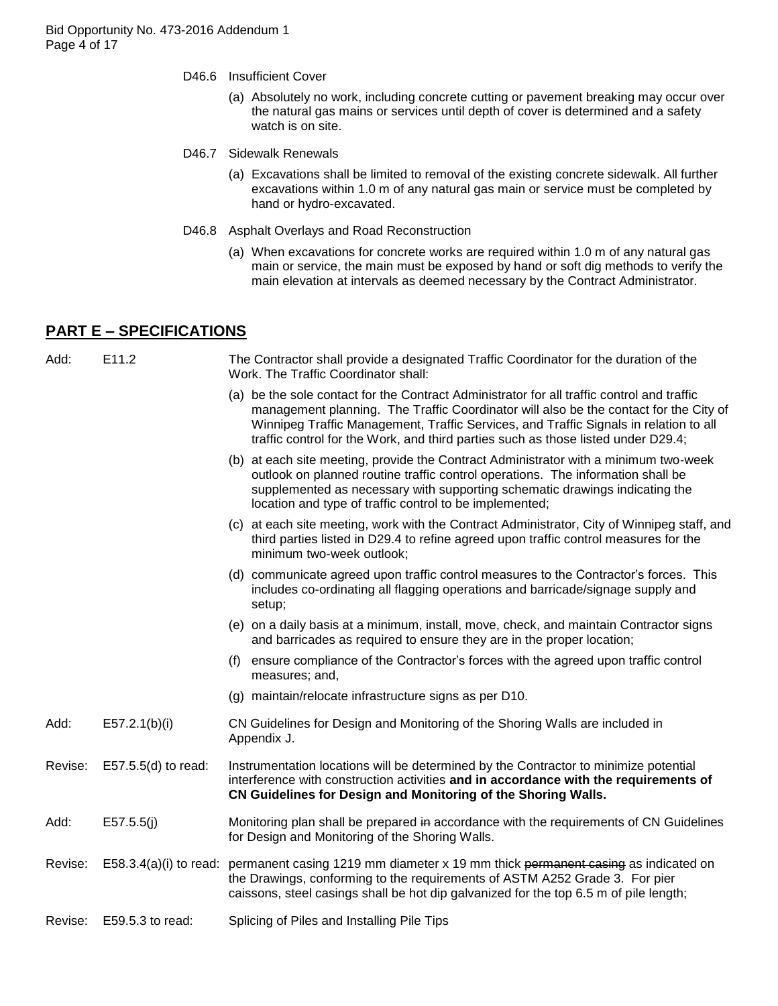- D46.6 Insufficient Cover
	- (a) Absolutely no work, including concrete cutting or pavement breaking may occur over the natural gas mains or services until depth of cover is determined and a safety watch is on site.
- D46.7 Sidewalk Renewals
	- (a) Excavations shall be limited to removal of the existing concrete sidewalk. All further excavations within 1.0 m of any natural gas main or service must be completed by hand or hydro-excavated.
- D46.8 Asphalt Overlays and Road Reconstruction
	- (a) When excavations for concrete works are required within 1.0 m of any natural gas main or service, the main must be exposed by hand or soft dig methods to verify the main elevation at intervals as deemed necessary by the Contract Administrator.

## **PART E – SPECIFICATIONS**

| Add:    | E11.2               | The Contractor shall provide a designated Traffic Coordinator for the duration of the<br>Work. The Traffic Coordinator shall:                                                                                                                                                                                                                                     |  |  |  |  |
|---------|---------------------|-------------------------------------------------------------------------------------------------------------------------------------------------------------------------------------------------------------------------------------------------------------------------------------------------------------------------------------------------------------------|--|--|--|--|
|         |                     | (a) be the sole contact for the Contract Administrator for all traffic control and traffic<br>management planning. The Traffic Coordinator will also be the contact for the City of<br>Winnipeg Traffic Management, Traffic Services, and Traffic Signals in relation to all<br>traffic control for the Work, and third parties such as those listed under D29.4; |  |  |  |  |
|         |                     | (b) at each site meeting, provide the Contract Administrator with a minimum two-week<br>outlook on planned routine traffic control operations. The information shall be<br>supplemented as necessary with supporting schematic drawings indicating the<br>location and type of traffic control to be implemented;                                                 |  |  |  |  |
|         |                     | (c) at each site meeting, work with the Contract Administrator, City of Winnipeg staff, and<br>third parties listed in D29.4 to refine agreed upon traffic control measures for the<br>minimum two-week outlook;                                                                                                                                                  |  |  |  |  |
|         |                     | (d) communicate agreed upon traffic control measures to the Contractor's forces. This<br>includes co-ordinating all flagging operations and barricade/signage supply and<br>setup;                                                                                                                                                                                |  |  |  |  |
|         |                     | (e) on a daily basis at a minimum, install, move, check, and maintain Contractor signs<br>and barricades as required to ensure they are in the proper location;                                                                                                                                                                                                   |  |  |  |  |
|         |                     | ensure compliance of the Contractor's forces with the agreed upon traffic control<br>(f)<br>measures; and,                                                                                                                                                                                                                                                        |  |  |  |  |
|         |                     | (g) maintain/relocate infrastructure signs as per D10.                                                                                                                                                                                                                                                                                                            |  |  |  |  |
| Add:    | E57.2.1(b)(i)       | CN Guidelines for Design and Monitoring of the Shoring Walls are included in<br>Appendix J.                                                                                                                                                                                                                                                                       |  |  |  |  |
| Revise: | E57.5.5(d) to read: | Instrumentation locations will be determined by the Contractor to minimize potential<br>interference with construction activities and in accordance with the requirements of<br>CN Guidelines for Design and Monitoring of the Shoring Walls.                                                                                                                     |  |  |  |  |
| Add:    | E57.5.5(i)          | Monitoring plan shall be prepared in accordance with the requirements of CN Guidelines<br>for Design and Monitoring of the Shoring Walls.                                                                                                                                                                                                                         |  |  |  |  |
| Revise: |                     | E58.3.4(a)(i) to read: permanent casing 1219 mm diameter x 19 mm thick permanent casing as indicated on<br>the Drawings, conforming to the requirements of ASTM A252 Grade 3. For pier<br>caissons, steel casings shall be hot dip galvanized for the top 6.5 m of pile length;                                                                                   |  |  |  |  |
| Revise: | E59.5.3 to read:    | Splicing of Piles and Installing Pile Tips                                                                                                                                                                                                                                                                                                                        |  |  |  |  |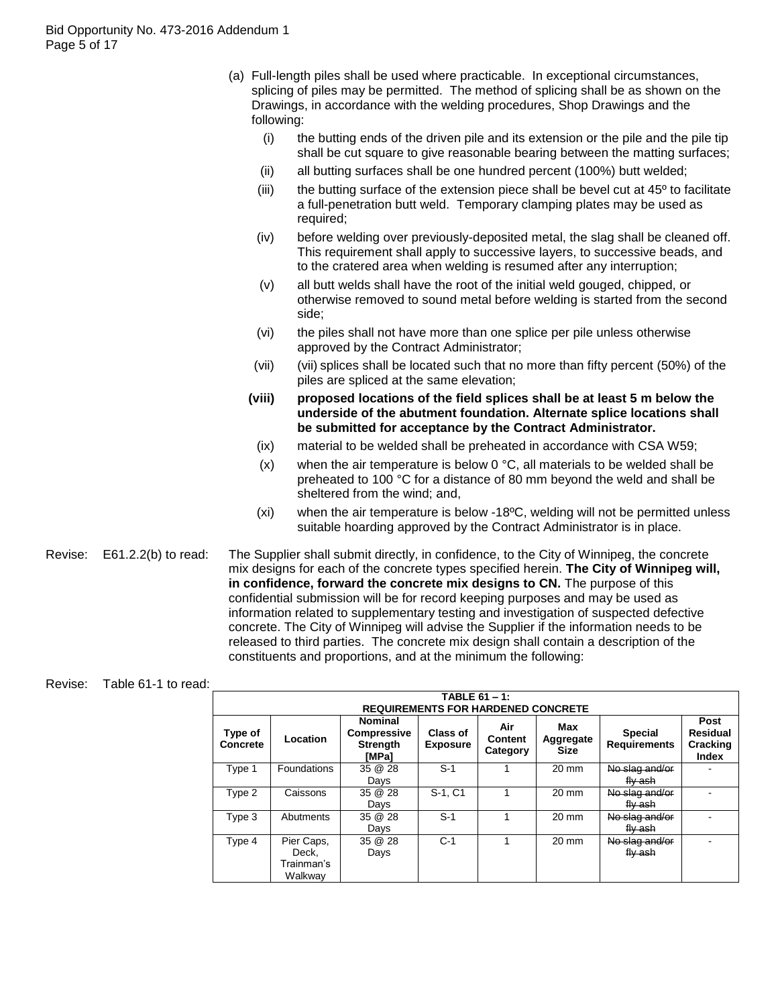- (a) Full-length piles shall be used where practicable. In exceptional circumstances, splicing of piles may be permitted. The method of splicing shall be as shown on the Drawings, in accordance with the welding procedures, Shop Drawings and the following:
	- (i) the butting ends of the driven pile and its extension or the pile and the pile tip shall be cut square to give reasonable bearing between the matting surfaces;
	- (ii) all butting surfaces shall be one hundred percent (100%) butt welded;
	- (iii) the butting surface of the extension piece shall be bevel cut at  $45^\circ$  to facilitate a full-penetration butt weld. Temporary clamping plates may be used as required;
	- (iv) before welding over previously-deposited metal, the slag shall be cleaned off. This requirement shall apply to successive layers, to successive beads, and to the cratered area when welding is resumed after any interruption;
	- (v) all butt welds shall have the root of the initial weld gouged, chipped, or otherwise removed to sound metal before welding is started from the second side;
	- (vi) the piles shall not have more than one splice per pile unless otherwise approved by the Contract Administrator;
	- (vii) (vii) splices shall be located such that no more than fifty percent (50%) of the piles are spliced at the same elevation;
	- **(viii) proposed locations of the field splices shall be at least 5 m below the underside of the abutment foundation. Alternate splice locations shall be submitted for acceptance by the Contract Administrator.**
		- (ix) material to be welded shall be preheated in accordance with CSA W59;
		- (x) when the air temperature is below  $0^{\circ}$ C, all materials to be welded shall be preheated to 100 °C for a distance of 80 mm beyond the weld and shall be sheltered from the wind; and,
		- $(xi)$  when the air temperature is below -18 $^{\circ}$ C, welding will not be permitted unless suitable hoarding approved by the Contract Administrator is in place.
- Revise: E61.2.2(b) to read: The Supplier shall submit directly, in confidence, to the City of Winnipeg, the concrete mix designs for each of the concrete types specified herein. **The City of Winnipeg will, in confidence, forward the concrete mix designs to CN.** The purpose of this confidential submission will be for record keeping purposes and may be used as information related to supplementary testing and investigation of suspected defective concrete. The City of Winnipeg will advise the Supplier if the information needs to be released to third parties. The concrete mix design shall contain a description of the constituents and proportions, and at the minimum the following:

| Revise:<br>Table 61-1 to read: |
|--------------------------------|
|--------------------------------|

| <b>TABLE 61 - 1:</b><br><b>REQUIREMENTS FOR HARDENED CONCRETE</b> |                                              |                                                           |                             |                                   |                                 |                                       |                                              |
|-------------------------------------------------------------------|----------------------------------------------|-----------------------------------------------------------|-----------------------------|-----------------------------------|---------------------------------|---------------------------------------|----------------------------------------------|
| Type of<br><b>Concrete</b>                                        | Location                                     | <b>Nominal</b><br>Compressive<br><b>Strength</b><br>[MPa] | Class of<br><b>Exposure</b> | Air<br><b>Content</b><br>Category | Max<br>Aggregate<br><b>Size</b> | <b>Special</b><br><b>Requirements</b> | Post<br><b>Residual</b><br>Cracking<br>Index |
| Type 1                                                            | <b>Foundations</b>                           | 35 @ 28<br>Days                                           | $S-1$                       |                                   | $20 \text{ mm}$                 | No slag and/or<br>fly ash             |                                              |
| Type 2                                                            | Caissons                                     | 35 @ 28<br>Days                                           | S-1, C1                     |                                   | 20 mm                           | No slag and/or<br>fly ash             |                                              |
| Type 3                                                            | Abutments                                    | 35 @ 28<br>Days                                           | $S-1$                       |                                   | $20 \text{ mm}$                 | No slag and/or<br>fly ash             |                                              |
| Type 4                                                            | Pier Caps,<br>Deck.<br>Trainman's<br>Walkwav | 35 @ 28<br>Days                                           | $C-1$                       |                                   | $20 \text{ mm}$                 | No slag and/or<br>fly ash             |                                              |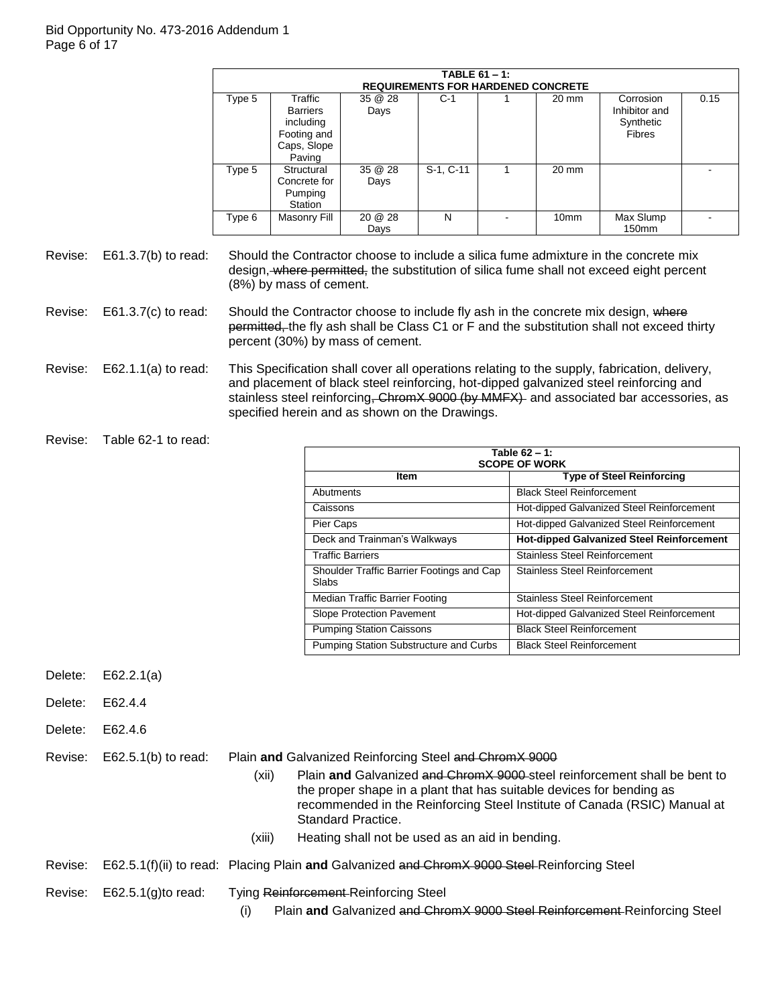#### Bid Opportunity No. 473-2016 Addendum 1 Page 6 of 17

| TABLE $61 - 1$ :<br><b>REQUIREMENTS FOR HARDENED CONCRETE</b> |                                                                                 |                 |           |  |                  |                                                          |      |
|---------------------------------------------------------------|---------------------------------------------------------------------------------|-----------------|-----------|--|------------------|----------------------------------------------------------|------|
| Type 5                                                        | Traffic<br><b>Barriers</b><br>including<br>Footing and<br>Caps, Slope<br>Paving | 35 @ 28<br>Days | $C-1$     |  | $20 \text{ mm}$  | Corrosion<br>Inhibitor and<br>Synthetic<br><b>Fibres</b> | 0.15 |
| Type 5                                                        | Structural<br>Concrete for<br>Pumping<br>Station                                | 35 @ 28<br>Days | S-1, C-11 |  | $20 \text{ mm}$  |                                                          |      |
| Type 6                                                        | Masonry Fill                                                                    | 20 @ 28<br>Days | N         |  | 10 <sub>mm</sub> | Max Slump<br>150mm                                       |      |

Revise: E61.3.7(b) to read: Should the Contractor choose to include a silica fume admixture in the concrete mix design, where permitted, the substitution of silica fume shall not exceed eight percent (8%) by mass of cement.

Revise: E61.3.7(c) to read: Should the Contractor choose to include fly ash in the concrete mix design, where permitted, the fly ash shall be Class C1 or F and the substitution shall not exceed thirty percent (30%) by mass of cement.

Revise: E62.1.1(a) to read: This Specification shall cover all operations relating to the supply, fabrication, delivery, and placement of black steel reinforcing, hot-dipped galvanized steel reinforcing and stainless steel reinforcing<del>, ChromX 9000 (by MMFX)</del> and associated bar accessories, as specified herein and as shown on the Drawings.

#### Revise: Table 62-1 to read:

| Table 62 - 1:<br><b>SCOPE OF WORK</b>              |                                                  |  |  |  |
|----------------------------------------------------|--------------------------------------------------|--|--|--|
| Item                                               | <b>Type of Steel Reinforcing</b>                 |  |  |  |
| Abutments                                          | <b>Black Steel Reinforcement</b>                 |  |  |  |
| Caissons                                           | Hot-dipped Galvanized Steel Reinforcement        |  |  |  |
| Pier Caps                                          | Hot-dipped Galvanized Steel Reinforcement        |  |  |  |
| Deck and Trainman's Walkways                       | <b>Hot-dipped Galvanized Steel Reinforcement</b> |  |  |  |
| <b>Traffic Barriers</b>                            | <b>Stainless Steel Reinforcement</b>             |  |  |  |
| Shoulder Traffic Barrier Footings and Cap<br>Slabs | <b>Stainless Steel Reinforcement</b>             |  |  |  |
| Median Traffic Barrier Footing                     | <b>Stainless Steel Reinforcement</b>             |  |  |  |
| <b>Slope Protection Pavement</b>                   | Hot-dipped Galvanized Steel Reinforcement        |  |  |  |
| <b>Pumping Station Caissons</b>                    | <b>Black Steel Reinforcement</b>                 |  |  |  |
| <b>Pumping Station Substructure and Curbs</b>      | <b>Black Steel Reinforcement</b>                 |  |  |  |

- Delete: E62.2.1(a)
- Delete: E62.4.4
- Delete: E62.4.6

Revise: E62.5.1(b) to read: Plain **and** Galvanized Reinforcing Steel and ChromX 9000

- (xii) Plain **and** Galvanized and ChromX 9000 steel reinforcement shall be bent to the proper shape in a plant that has suitable devices for bending as recommended in the Reinforcing Steel Institute of Canada (RSIC) Manual at Standard Practice.
- (xiii) Heating shall not be used as an aid in bending.
- Revise: E62.5.1(f)(ii) to read: Placing Plain **and** Galvanized and ChromX 9000 Steel Reinforcing Steel
- Revise: E62.5.1(g)to read: Tying Reinforcement-Reinforcing Steel
	- (i) Plain **and** Galvanized and ChromX 9000 Steel Reinforcement Reinforcing Steel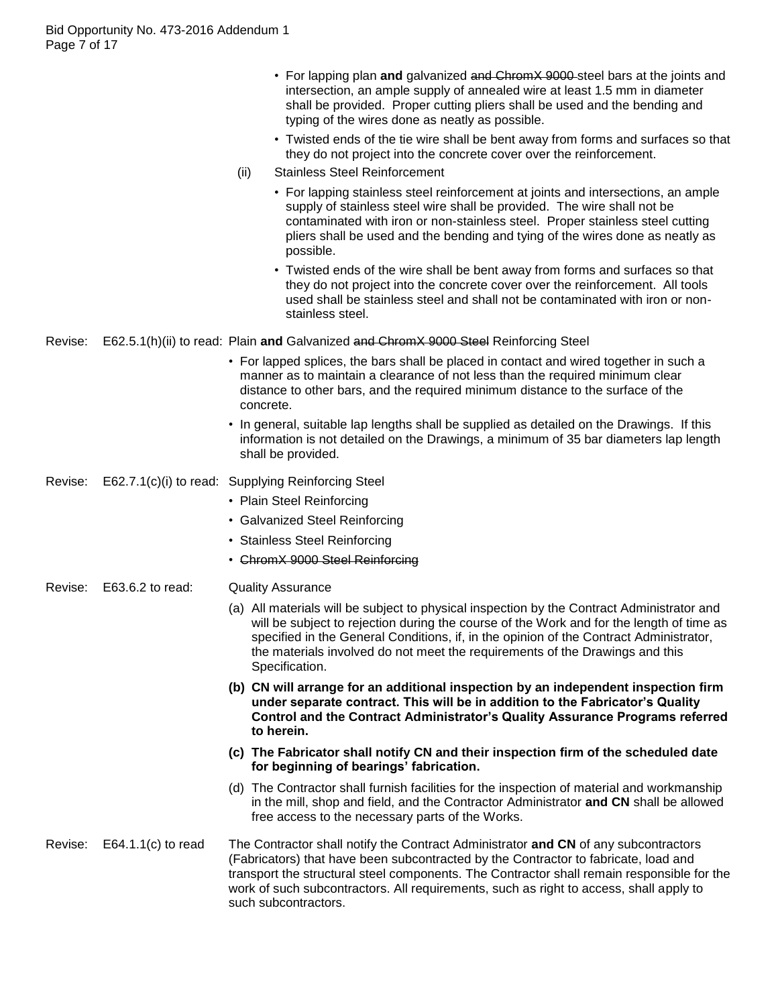|         |                      | • For lapping plan and galvanized and ChromX 9000-steel bars at the joints and<br>intersection, an ample supply of annealed wire at least 1.5 mm in diameter<br>shall be provided. Proper cutting pliers shall be used and the bending and<br>typing of the wires done as neatly as possible.                                                                                              |
|---------|----------------------|--------------------------------------------------------------------------------------------------------------------------------------------------------------------------------------------------------------------------------------------------------------------------------------------------------------------------------------------------------------------------------------------|
|         |                      | • Twisted ends of the tie wire shall be bent away from forms and surfaces so that<br>they do not project into the concrete cover over the reinforcement.                                                                                                                                                                                                                                   |
|         |                      | <b>Stainless Steel Reinforcement</b><br>(ii)                                                                                                                                                                                                                                                                                                                                               |
|         |                      | • For lapping stainless steel reinforcement at joints and intersections, an ample<br>supply of stainless steel wire shall be provided. The wire shall not be<br>contaminated with iron or non-stainless steel. Proper stainless steel cutting<br>pliers shall be used and the bending and tying of the wires done as neatly as<br>possible.                                                |
|         |                      | • Twisted ends of the wire shall be bent away from forms and surfaces so that<br>they do not project into the concrete cover over the reinforcement. All tools<br>used shall be stainless steel and shall not be contaminated with iron or non-<br>stainless steel.                                                                                                                        |
| Revise: |                      | E62.5.1(h)(ii) to read: Plain and Galvanized and ChromX 9000 Steel Reinforcing Steel                                                                                                                                                                                                                                                                                                       |
|         |                      | • For lapped splices, the bars shall be placed in contact and wired together in such a<br>manner as to maintain a clearance of not less than the required minimum clear<br>distance to other bars, and the required minimum distance to the surface of the<br>concrete.                                                                                                                    |
|         |                      | • In general, suitable lap lengths shall be supplied as detailed on the Drawings. If this<br>information is not detailed on the Drawings, a minimum of 35 bar diameters lap length<br>shall be provided.                                                                                                                                                                                   |
| Revise: |                      | E62.7.1(c)(i) to read: Supplying Reinforcing Steel                                                                                                                                                                                                                                                                                                                                         |
|         |                      | • Plain Steel Reinforcing                                                                                                                                                                                                                                                                                                                                                                  |
|         |                      | • Galvanized Steel Reinforcing                                                                                                                                                                                                                                                                                                                                                             |
|         |                      | • Stainless Steel Reinforcing                                                                                                                                                                                                                                                                                                                                                              |
|         |                      | • ChromX 9000 Steel Reinforcing                                                                                                                                                                                                                                                                                                                                                            |
| Revise: | E63.6.2 to read:     | <b>Quality Assurance</b>                                                                                                                                                                                                                                                                                                                                                                   |
|         |                      | (a) All materials will be subject to physical inspection by the Contract Administrator and<br>will be subject to rejection during the course of the Work and for the length of time as<br>specified in the General Conditions, if, in the opinion of the Contract Administrator,<br>the materials involved do not meet the requirements of the Drawings and this<br>Specification.         |
|         |                      | (b) CN will arrange for an additional inspection by an independent inspection firm<br>under separate contract. This will be in addition to the Fabricator's Quality<br><b>Control and the Contract Administrator's Quality Assurance Programs referred</b><br>to herein.                                                                                                                   |
|         |                      | (c) The Fabricator shall notify CN and their inspection firm of the scheduled date<br>for beginning of bearings' fabrication.                                                                                                                                                                                                                                                              |
|         |                      | (d) The Contractor shall furnish facilities for the inspection of material and workmanship<br>in the mill, shop and field, and the Contractor Administrator and CN shall be allowed<br>free access to the necessary parts of the Works.                                                                                                                                                    |
| Revise: | $E64.1.1(c)$ to read | The Contractor shall notify the Contract Administrator and CN of any subcontractors<br>(Fabricators) that have been subcontracted by the Contractor to fabricate, load and<br>transport the structural steel components. The Contractor shall remain responsible for the<br>work of such subcontractors. All requirements, such as right to access, shall apply to<br>such subcontractors. |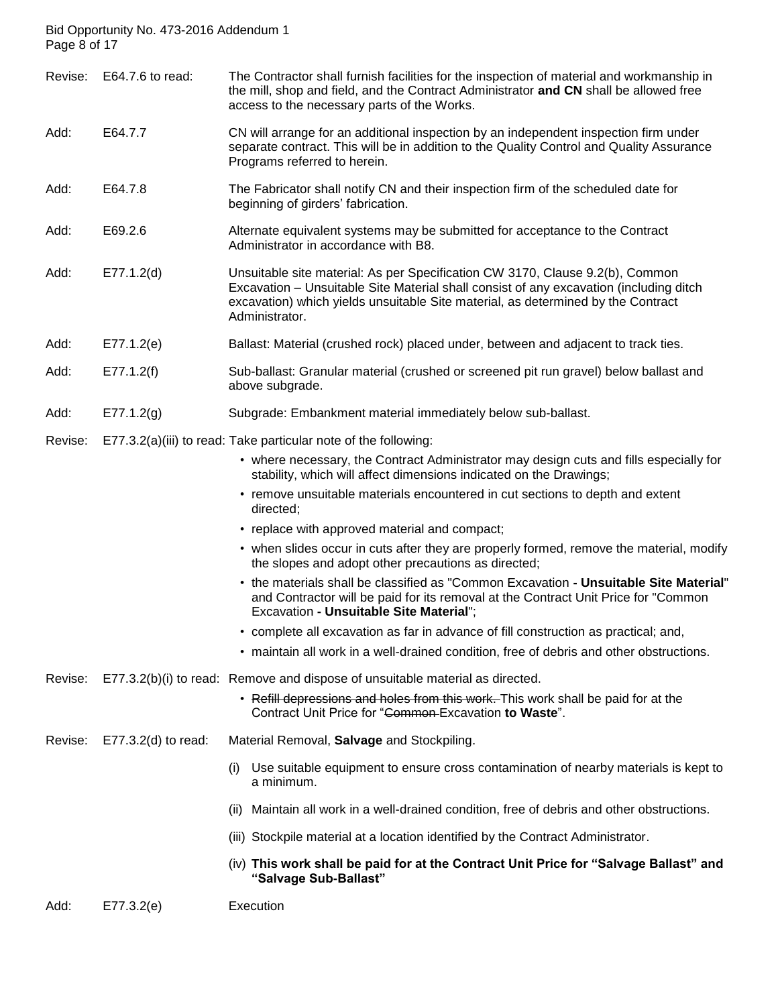#### Bid Opportunity No. 473-2016 Addendum 1 Page 8 of 17

| Revise: | E64.7.6 to read:    | The Contractor shall furnish facilities for the inspection of material and workmanship in<br>the mill, shop and field, and the Contract Administrator and CN shall be allowed free<br>access to the necessary parts of the Works.                                             |  |  |  |  |
|---------|---------------------|-------------------------------------------------------------------------------------------------------------------------------------------------------------------------------------------------------------------------------------------------------------------------------|--|--|--|--|
| Add:    | E64.7.7             | CN will arrange for an additional inspection by an independent inspection firm under<br>separate contract. This will be in addition to the Quality Control and Quality Assurance<br>Programs referred to herein.                                                              |  |  |  |  |
| Add:    | E64.7.8             | The Fabricator shall notify CN and their inspection firm of the scheduled date for<br>beginning of girders' fabrication.                                                                                                                                                      |  |  |  |  |
| Add:    | E69.2.6             | Alternate equivalent systems may be submitted for acceptance to the Contract<br>Administrator in accordance with B8.                                                                                                                                                          |  |  |  |  |
| Add:    | E77.1.2(d)          | Unsuitable site material: As per Specification CW 3170, Clause 9.2(b), Common<br>Excavation – Unsuitable Site Material shall consist of any excavation (including ditch<br>excavation) which yields unsuitable Site material, as determined by the Contract<br>Administrator. |  |  |  |  |
| Add:    | E77.1.2(e)          | Ballast: Material (crushed rock) placed under, between and adjacent to track ties.                                                                                                                                                                                            |  |  |  |  |
| Add:    | E77.1.2(f)          | Sub-ballast: Granular material (crushed or screened pit run gravel) below ballast and<br>above subgrade.                                                                                                                                                                      |  |  |  |  |
| Add:    | E77.1.2(g)          | Subgrade: Embankment material immediately below sub-ballast.                                                                                                                                                                                                                  |  |  |  |  |
| Revise: |                     | E77.3.2(a)(iii) to read: Take particular note of the following:                                                                                                                                                                                                               |  |  |  |  |
|         |                     | • where necessary, the Contract Administrator may design cuts and fills especially for<br>stability, which will affect dimensions indicated on the Drawings;                                                                                                                  |  |  |  |  |
|         |                     | • remove unsuitable materials encountered in cut sections to depth and extent<br>directed;                                                                                                                                                                                    |  |  |  |  |
|         |                     | • replace with approved material and compact;                                                                                                                                                                                                                                 |  |  |  |  |
|         |                     | • when slides occur in cuts after they are properly formed, remove the material, modify<br>the slopes and adopt other precautions as directed;                                                                                                                                |  |  |  |  |
|         |                     | • the materials shall be classified as "Common Excavation - Unsuitable Site Material"<br>and Contractor will be paid for its removal at the Contract Unit Price for "Common"<br><b>Excavation - Unsuitable Site Material";</b>                                                |  |  |  |  |
|         |                     | • complete all excavation as far in advance of fill construction as practical; and,                                                                                                                                                                                           |  |  |  |  |
|         |                     | • maintain all work in a well-drained condition, free of debris and other obstructions.                                                                                                                                                                                       |  |  |  |  |
| Revise: |                     | E77.3.2(b)(i) to read: Remove and dispose of unsuitable material as directed.                                                                                                                                                                                                 |  |  |  |  |
|         |                     | • Refill depressions and holes from this work. This work shall be paid for at the<br>Contract Unit Price for "Common-Excavation to Waste".                                                                                                                                    |  |  |  |  |
| Revise: | E77.3.2(d) to read: | Material Removal, Salvage and Stockpiling.                                                                                                                                                                                                                                    |  |  |  |  |
|         |                     | Use suitable equipment to ensure cross contamination of nearby materials is kept to<br>(1)<br>a minimum.                                                                                                                                                                      |  |  |  |  |
|         |                     | Maintain all work in a well-drained condition, free of debris and other obstructions.<br>(11)                                                                                                                                                                                 |  |  |  |  |
|         |                     | (iii) Stockpile material at a location identified by the Contract Administrator.                                                                                                                                                                                              |  |  |  |  |
|         |                     | (iv) This work shall be paid for at the Contract Unit Price for "Salvage Ballast" and<br>"Salvage Sub-Ballast"                                                                                                                                                                |  |  |  |  |
| Add:    | E77.3.2(e)          | Execution                                                                                                                                                                                                                                                                     |  |  |  |  |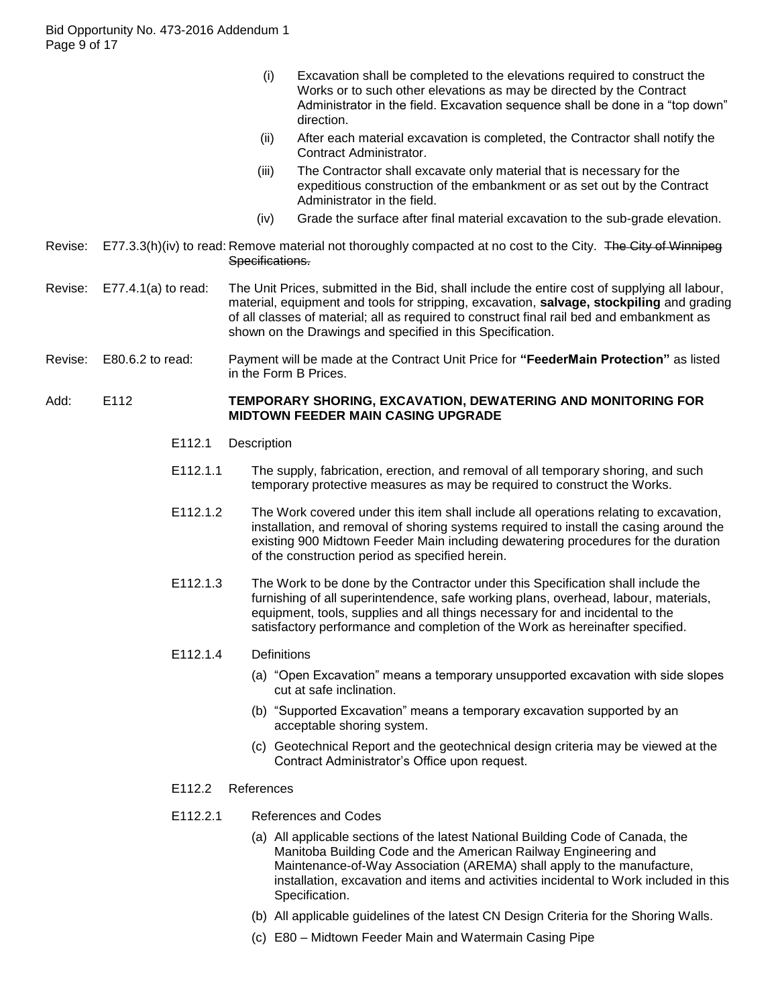- (i) Excavation shall be completed to the elevations required to construct the Works or to such other elevations as may be directed by the Contract Administrator in the field. Excavation sequence shall be done in a "top down" direction.
- (ii) After each material excavation is completed, the Contractor shall notify the Contract Administrator.
- (iii) The Contractor shall excavate only material that is necessary for the expeditious construction of the embankment or as set out by the Contract Administrator in the field.
- (iv) Grade the surface after final material excavation to the sub-grade elevation.
- Revise: E77.3.3(h)(iv) to read: Remove material not thoroughly compacted at no cost to the City. The City of Winnipeg Specifications.
- Revise: E77.4.1(a) to read: The Unit Prices, submitted in the Bid, shall include the entire cost of supplying all labour, material, equipment and tools for stripping, excavation, **salvage, stockpiling** and grading of all classes of material; all as required to construct final rail bed and embankment as shown on the Drawings and specified in this Specification.
- Revise: E80.6.2 to read: Payment will be made at the Contract Unit Price for **"FeederMain Protection"** as listed in the Form B Prices.

#### Add: E112 **TEMPORARY SHORING, EXCAVATION, DEWATERING AND MONITORING FOR MIDTOWN FEEDER MAIN CASING UPGRADE**

- E112.1 Description
- E112.1.1 The supply, fabrication, erection, and removal of all temporary shoring, and such temporary protective measures as may be required to construct the Works.
- E112.1.2 The Work covered under this item shall include all operations relating to excavation, installation, and removal of shoring systems required to install the casing around the existing 900 Midtown Feeder Main including dewatering procedures for the duration of the construction period as specified herein.
- E112.1.3 The Work to be done by the Contractor under this Specification shall include the furnishing of all superintendence, safe working plans, overhead, labour, materials, equipment, tools, supplies and all things necessary for and incidental to the satisfactory performance and completion of the Work as hereinafter specified.

#### E112.1.4 Definitions

- (a) "Open Excavation" means a temporary unsupported excavation with side slopes cut at safe inclination.
- (b) "Supported Excavation" means a temporary excavation supported by an acceptable shoring system.
- (c) Geotechnical Report and the geotechnical design criteria may be viewed at the Contract Administrator's Office upon request.

#### E112.2 References

- E112.2.1 References and Codes
	- (a) All applicable sections of the latest National Building Code of Canada, the Manitoba Building Code and the American Railway Engineering and Maintenance-of-Way Association (AREMA) shall apply to the manufacture, installation, excavation and items and activities incidental to Work included in this Specification.
	- (b) All applicable guidelines of the latest CN Design Criteria for the Shoring Walls.
	- (c) E80 Midtown Feeder Main and Watermain Casing Pipe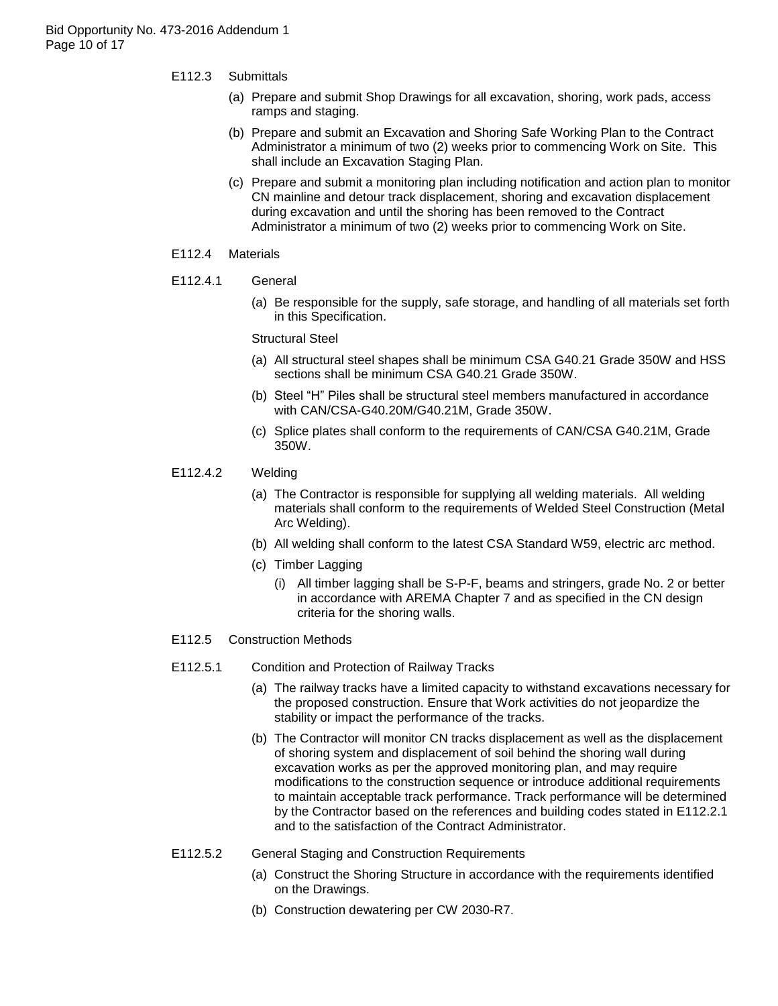- E112.3 Submittals
	- (a) Prepare and submit Shop Drawings for all excavation, shoring, work pads, access ramps and staging.
	- (b) Prepare and submit an Excavation and Shoring Safe Working Plan to the Contract Administrator a minimum of two (2) weeks prior to commencing Work on Site. This shall include an Excavation Staging Plan.
	- (c) Prepare and submit a monitoring plan including notification and action plan to monitor CN mainline and detour track displacement, shoring and excavation displacement during excavation and until the shoring has been removed to the Contract Administrator a minimum of two (2) weeks prior to commencing Work on Site.

#### E112.4 Materials

#### E112.4.1 General

(a) Be responsible for the supply, safe storage, and handling of all materials set forth in this Specification.

#### Structural Steel

- (a) All structural steel shapes shall be minimum CSA G40.21 Grade 350W and HSS sections shall be minimum CSA G40.21 Grade 350W.
- (b) Steel "H" Piles shall be structural steel members manufactured in accordance with CAN/CSA-G40.20M/G40.21M, Grade 350W.
- (c) Splice plates shall conform to the requirements of CAN/CSA G40.21M, Grade 350W.

#### E112.4.2 Welding

- (a) The Contractor is responsible for supplying all welding materials. All welding materials shall conform to the requirements of Welded Steel Construction (Metal Arc Welding).
- (b) All welding shall conform to the latest CSA Standard W59, electric arc method.
- (c) Timber Lagging
	- (i) All timber lagging shall be S-P-F, beams and stringers, grade No. 2 or better in accordance with AREMA Chapter 7 and as specified in the CN design criteria for the shoring walls.

#### E112.5 Construction Methods

- E112.5.1 Condition and Protection of Railway Tracks
	- (a) The railway tracks have a limited capacity to withstand excavations necessary for the proposed construction. Ensure that Work activities do not jeopardize the stability or impact the performance of the tracks.
	- (b) The Contractor will monitor CN tracks displacement as well as the displacement of shoring system and displacement of soil behind the shoring wall during excavation works as per the approved monitoring plan, and may require modifications to the construction sequence or introduce additional requirements to maintain acceptable track performance. Track performance will be determined by the Contractor based on the references and building codes stated in E112.2.1 and to the satisfaction of the Contract Administrator.
- E112.5.2 General Staging and Construction Requirements
	- (a) Construct the Shoring Structure in accordance with the requirements identified on the Drawings.
	- (b) Construction dewatering per CW 2030-R7.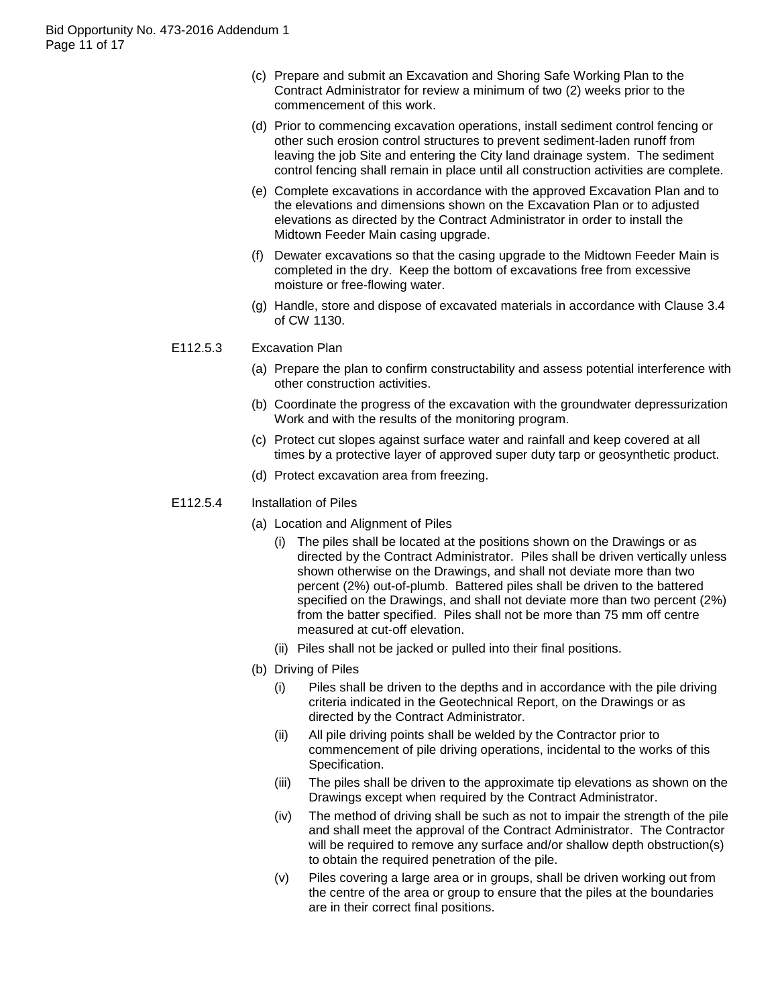- (c) Prepare and submit an Excavation and Shoring Safe Working Plan to the Contract Administrator for review a minimum of two (2) weeks prior to the commencement of this work.
- (d) Prior to commencing excavation operations, install sediment control fencing or other such erosion control structures to prevent sediment-laden runoff from leaving the job Site and entering the City land drainage system. The sediment control fencing shall remain in place until all construction activities are complete.
- (e) Complete excavations in accordance with the approved Excavation Plan and to the elevations and dimensions shown on the Excavation Plan or to adjusted elevations as directed by the Contract Administrator in order to install the Midtown Feeder Main casing upgrade.
- (f) Dewater excavations so that the casing upgrade to the Midtown Feeder Main is completed in the dry. Keep the bottom of excavations free from excessive moisture or free-flowing water.
- (g) Handle, store and dispose of excavated materials in accordance with Clause 3.4 of CW 1130.

#### E112.5.3 Excavation Plan

- (a) Prepare the plan to confirm constructability and assess potential interference with other construction activities.
- (b) Coordinate the progress of the excavation with the groundwater depressurization Work and with the results of the monitoring program.
- (c) Protect cut slopes against surface water and rainfall and keep covered at all times by a protective layer of approved super duty tarp or geosynthetic product.
- (d) Protect excavation area from freezing.

#### E112.5.4 Installation of Piles

- (a) Location and Alignment of Piles
	- (i) The piles shall be located at the positions shown on the Drawings or as directed by the Contract Administrator. Piles shall be driven vertically unless shown otherwise on the Drawings, and shall not deviate more than two percent (2%) out-of-plumb. Battered piles shall be driven to the battered specified on the Drawings, and shall not deviate more than two percent (2%) from the batter specified. Piles shall not be more than 75 mm off centre measured at cut-off elevation.
	- (ii) Piles shall not be jacked or pulled into their final positions.
- (b) Driving of Piles
	- (i) Piles shall be driven to the depths and in accordance with the pile driving criteria indicated in the Geotechnical Report, on the Drawings or as directed by the Contract Administrator.
	- (ii) All pile driving points shall be welded by the Contractor prior to commencement of pile driving operations, incidental to the works of this Specification.
	- (iii) The piles shall be driven to the approximate tip elevations as shown on the Drawings except when required by the Contract Administrator.
	- (iv) The method of driving shall be such as not to impair the strength of the pile and shall meet the approval of the Contract Administrator. The Contractor will be required to remove any surface and/or shallow depth obstruction(s) to obtain the required penetration of the pile.
	- (v) Piles covering a large area or in groups, shall be driven working out from the centre of the area or group to ensure that the piles at the boundaries are in their correct final positions.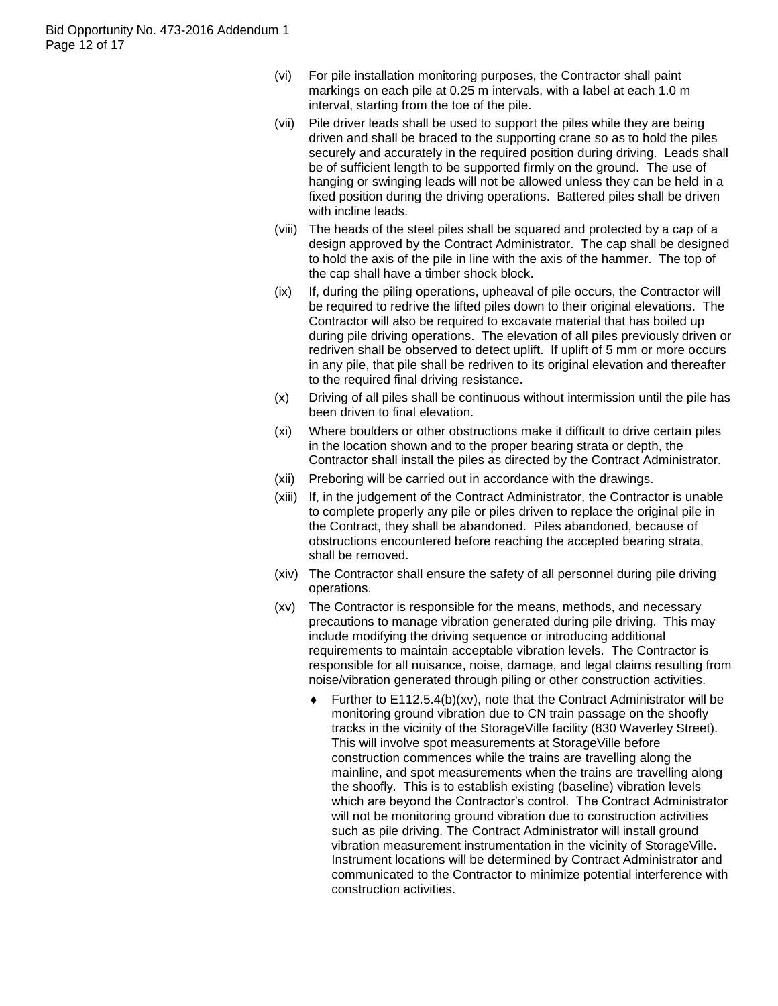- (vi) For pile installation monitoring purposes, the Contractor shall paint markings on each pile at 0.25 m intervals, with a label at each 1.0 m interval, starting from the toe of the pile.
- (vii) Pile driver leads shall be used to support the piles while they are being driven and shall be braced to the supporting crane so as to hold the piles securely and accurately in the required position during driving. Leads shall be of sufficient length to be supported firmly on the ground. The use of hanging or swinging leads will not be allowed unless they can be held in a fixed position during the driving operations. Battered piles shall be driven with incline leads.
- (viii) The heads of the steel piles shall be squared and protected by a cap of a design approved by the Contract Administrator. The cap shall be designed to hold the axis of the pile in line with the axis of the hammer. The top of the cap shall have a timber shock block.
- (ix) If, during the piling operations, upheaval of pile occurs, the Contractor will be required to redrive the lifted piles down to their original elevations. The Contractor will also be required to excavate material that has boiled up during pile driving operations. The elevation of all piles previously driven or redriven shall be observed to detect uplift. If uplift of 5 mm or more occurs in any pile, that pile shall be redriven to its original elevation and thereafter to the required final driving resistance.
- (x) Driving of all piles shall be continuous without intermission until the pile has been driven to final elevation.
- (xi) Where boulders or other obstructions make it difficult to drive certain piles in the location shown and to the proper bearing strata or depth, the Contractor shall install the piles as directed by the Contract Administrator.
- (xii) Preboring will be carried out in accordance with the drawings.
- (xiii) If, in the judgement of the Contract Administrator, the Contractor is unable to complete properly any pile or piles driven to replace the original pile in the Contract, they shall be abandoned. Piles abandoned, because of obstructions encountered before reaching the accepted bearing strata, shall be removed.
- (xiv) The Contractor shall ensure the safety of all personnel during pile driving operations.
- (xv) The Contractor is responsible for the means, methods, and necessary precautions to manage vibration generated during pile driving. This may include modifying the driving sequence or introducing additional requirements to maintain acceptable vibration levels. The Contractor is responsible for all nuisance, noise, damage, and legal claims resulting from noise/vibration generated through piling or other construction activities.
	- Further to E112.5.4(b)(xv), note that the Contract Administrator will be monitoring ground vibration due to CN train passage on the shoofly tracks in the vicinity of the StorageVille facility (830 Waverley Street). This will involve spot measurements at StorageVille before construction commences while the trains are travelling along the mainline, and spot measurements when the trains are travelling along the shoofly. This is to establish existing (baseline) vibration levels which are beyond the Contractor's control. The Contract Administrator will not be monitoring ground vibration due to construction activities such as pile driving. The Contract Administrator will install ground vibration measurement instrumentation in the vicinity of StorageVille. Instrument locations will be determined by Contract Administrator and communicated to the Contractor to minimize potential interference with construction activities.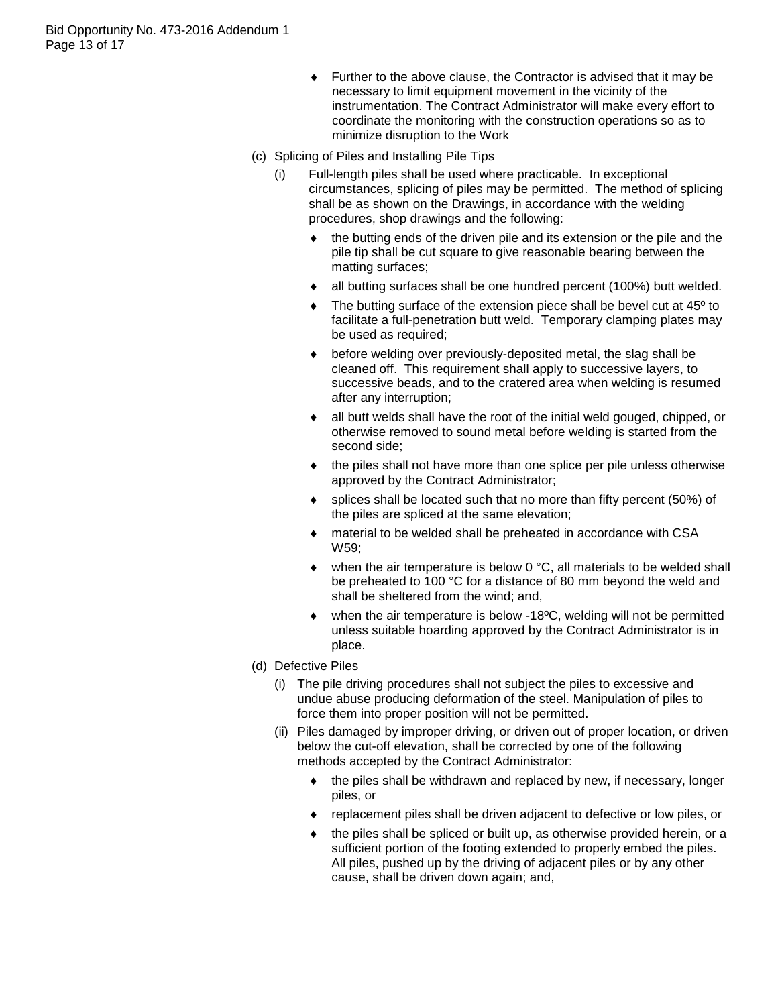- Further to the above clause, the Contractor is advised that it may be necessary to limit equipment movement in the vicinity of the instrumentation. The Contract Administrator will make every effort to coordinate the monitoring with the construction operations so as to minimize disruption to the Work
- (c) Splicing of Piles and Installing Pile Tips
	- (i) Full-length piles shall be used where practicable. In exceptional circumstances, splicing of piles may be permitted. The method of splicing shall be as shown on the Drawings, in accordance with the welding procedures, shop drawings and the following:
		- the butting ends of the driven pile and its extension or the pile and the pile tip shall be cut square to give reasonable bearing between the matting surfaces;
		- all butting surfaces shall be one hundred percent (100%) butt welded.
		- The butting surface of the extension piece shall be bevel cut at 45º to facilitate a full-penetration butt weld. Temporary clamping plates may be used as required;
		- before welding over previously-deposited metal, the slag shall be cleaned off. This requirement shall apply to successive layers, to successive beads, and to the cratered area when welding is resumed after any interruption;
		- all butt welds shall have the root of the initial weld gouged, chipped, or otherwise removed to sound metal before welding is started from the second side;
		- the piles shall not have more than one splice per pile unless otherwise approved by the Contract Administrator;
		- splices shall be located such that no more than fifty percent (50%) of the piles are spliced at the same elevation;
		- material to be welded shall be preheated in accordance with CSA W59;
		- when the air temperature is below 0 °C, all materials to be welded shall be preheated to 100 °C for a distance of 80 mm beyond the weld and shall be sheltered from the wind; and,
		- when the air temperature is below -18ºC, welding will not be permitted unless suitable hoarding approved by the Contract Administrator is in place.
- (d) Defective Piles
	- (i) The pile driving procedures shall not subject the piles to excessive and undue abuse producing deformation of the steel. Manipulation of piles to force them into proper position will not be permitted.
	- (ii) Piles damaged by improper driving, or driven out of proper location, or driven below the cut-off elevation, shall be corrected by one of the following methods accepted by the Contract Administrator:
		- the piles shall be withdrawn and replaced by new, if necessary, longer piles, or
		- replacement piles shall be driven adjacent to defective or low piles, or
		- the piles shall be spliced or built up, as otherwise provided herein, or a sufficient portion of the footing extended to properly embed the piles. All piles, pushed up by the driving of adjacent piles or by any other cause, shall be driven down again; and,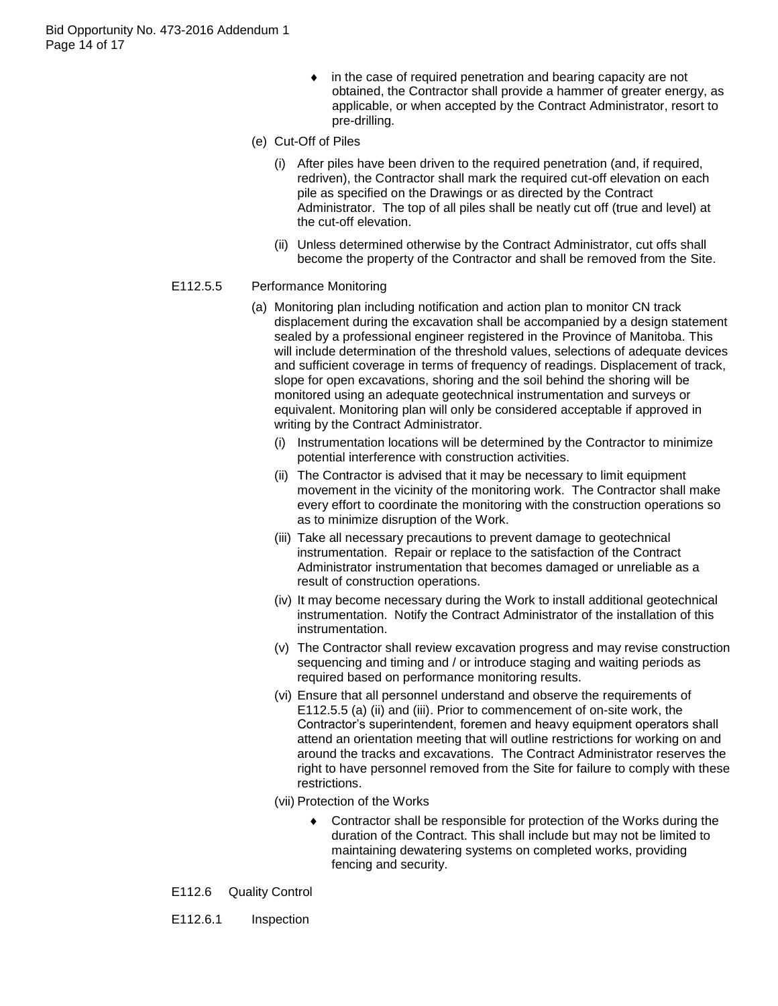- in the case of required penetration and bearing capacity are not obtained, the Contractor shall provide a hammer of greater energy, as applicable, or when accepted by the Contract Administrator, resort to pre-drilling.
- (e) Cut-Off of Piles
	- (i) After piles have been driven to the required penetration (and, if required, redriven), the Contractor shall mark the required cut-off elevation on each pile as specified on the Drawings or as directed by the Contract Administrator. The top of all piles shall be neatly cut off (true and level) at the cut-off elevation.
	- (ii) Unless determined otherwise by the Contract Administrator, cut offs shall become the property of the Contractor and shall be removed from the Site.

#### E112.5.5 Performance Monitoring

- (a) Monitoring plan including notification and action plan to monitor CN track displacement during the excavation shall be accompanied by a design statement sealed by a professional engineer registered in the Province of Manitoba. This will include determination of the threshold values, selections of adequate devices and sufficient coverage in terms of frequency of readings. Displacement of track, slope for open excavations, shoring and the soil behind the shoring will be monitored using an adequate geotechnical instrumentation and surveys or equivalent. Monitoring plan will only be considered acceptable if approved in writing by the Contract Administrator.
	- (i) Instrumentation locations will be determined by the Contractor to minimize potential interference with construction activities.
	- (ii) The Contractor is advised that it may be necessary to limit equipment movement in the vicinity of the monitoring work. The Contractor shall make every effort to coordinate the monitoring with the construction operations so as to minimize disruption of the Work.
	- (iii) Take all necessary precautions to prevent damage to geotechnical instrumentation. Repair or replace to the satisfaction of the Contract Administrator instrumentation that becomes damaged or unreliable as a result of construction operations.
	- (iv) It may become necessary during the Work to install additional geotechnical instrumentation. Notify the Contract Administrator of the installation of this instrumentation.
	- (v) The Contractor shall review excavation progress and may revise construction sequencing and timing and / or introduce staging and waiting periods as required based on performance monitoring results.
	- (vi) Ensure that all personnel understand and observe the requirements of E112.5.5 (a) (ii) and (iii). Prior to commencement of on-site work, the Contractor's superintendent, foremen and heavy equipment operators shall attend an orientation meeting that will outline restrictions for working on and around the tracks and excavations. The Contract Administrator reserves the right to have personnel removed from the Site for failure to comply with these restrictions.
	- (vii) Protection of the Works
		- Contractor shall be responsible for protection of the Works during the duration of the Contract. This shall include but may not be limited to maintaining dewatering systems on completed works, providing fencing and security.
- E112.6 Quality Control
- E112.6.1 Inspection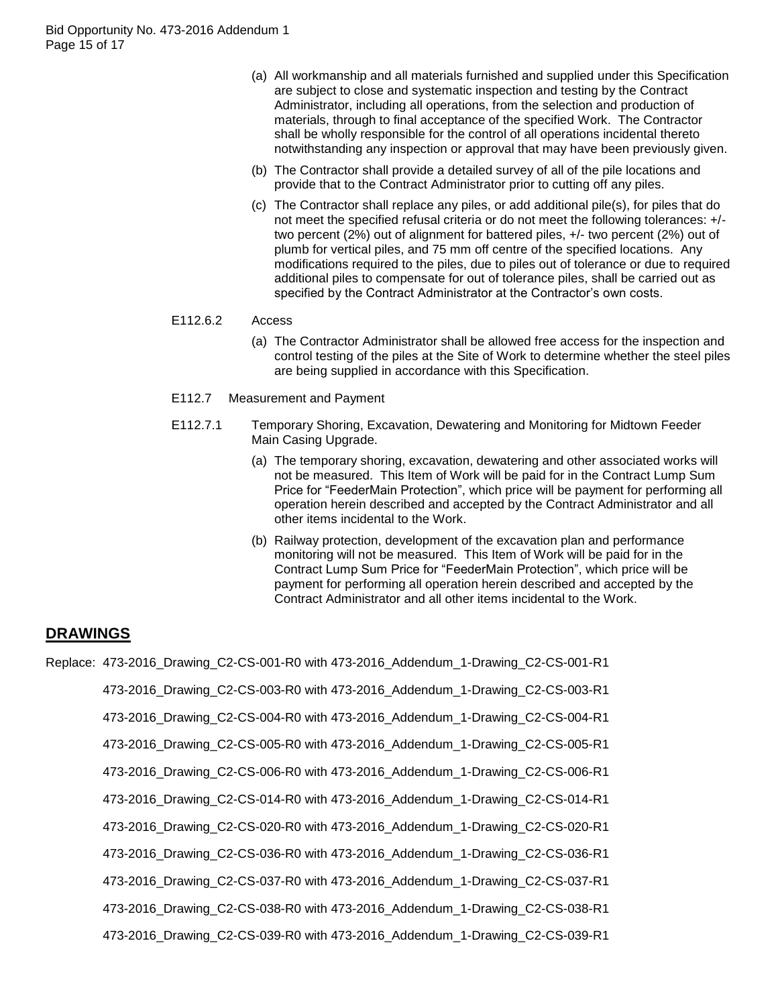- (a) All workmanship and all materials furnished and supplied under this Specification are subject to close and systematic inspection and testing by the Contract Administrator, including all operations, from the selection and production of materials, through to final acceptance of the specified Work. The Contractor shall be wholly responsible for the control of all operations incidental thereto notwithstanding any inspection or approval that may have been previously given.
- (b) The Contractor shall provide a detailed survey of all of the pile locations and provide that to the Contract Administrator prior to cutting off any piles.
- (c) The Contractor shall replace any piles, or add additional pile(s), for piles that do not meet the specified refusal criteria or do not meet the following tolerances: +/ two percent (2%) out of alignment for battered piles, +/- two percent (2%) out of plumb for vertical piles, and 75 mm off centre of the specified locations. Any modifications required to the piles, due to piles out of tolerance or due to required additional piles to compensate for out of tolerance piles, shall be carried out as specified by the Contract Administrator at the Contractor's own costs.

#### E112.6.2 Access

- (a) The Contractor Administrator shall be allowed free access for the inspection and control testing of the piles at the Site of Work to determine whether the steel piles are being supplied in accordance with this Specification.
- E112.7 Measurement and Payment
- E112.7.1 Temporary Shoring, Excavation, Dewatering and Monitoring for Midtown Feeder Main Casing Upgrade.
	- (a) The temporary shoring, excavation, dewatering and other associated works will not be measured. This Item of Work will be paid for in the Contract Lump Sum Price for "FeederMain Protection", which price will be payment for performing all operation herein described and accepted by the Contract Administrator and all other items incidental to the Work.
	- (b) Railway protection, development of the excavation plan and performance monitoring will not be measured. This Item of Work will be paid for in the Contract Lump Sum Price for "FeederMain Protection", which price will be payment for performing all operation herein described and accepted by the Contract Administrator and all other items incidental to the Work.

## **DRAWINGS**

Replace: 473-2016\_Drawing\_C2-CS-001-R0 with 473-2016\_Addendum\_1-Drawing\_C2-CS-001-R1 473-2016\_Drawing\_C2-CS-003-R0 with 473-2016\_Addendum\_1-Drawing\_C2-CS-003-R1 473-2016\_Drawing\_C2-CS-004-R0 with 473-2016\_Addendum\_1-Drawing\_C2-CS-004-R1 473-2016\_Drawing\_C2-CS-005-R0 with 473-2016\_Addendum\_1-Drawing\_C2-CS-005-R1 473-2016\_Drawing\_C2-CS-006-R0 with 473-2016\_Addendum\_1-Drawing\_C2-CS-006-R1 473-2016\_Drawing\_C2-CS-014-R0 with 473-2016\_Addendum\_1-Drawing\_C2-CS-014-R1 473-2016\_Drawing\_C2-CS-020-R0 with 473-2016\_Addendum\_1-Drawing\_C2-CS-020-R1 473-2016\_Drawing\_C2-CS-036-R0 with 473-2016\_Addendum\_1-Drawing\_C2-CS-036-R1 473-2016\_Drawing\_C2-CS-037-R0 with 473-2016\_Addendum\_1-Drawing\_C2-CS-037-R1 473-2016\_Drawing\_C2-CS-038-R0 with 473-2016\_Addendum\_1-Drawing\_C2-CS-038-R1 473-2016\_Drawing\_C2-CS-039-R0 with 473-2016\_Addendum\_1-Drawing\_C2-CS-039-R1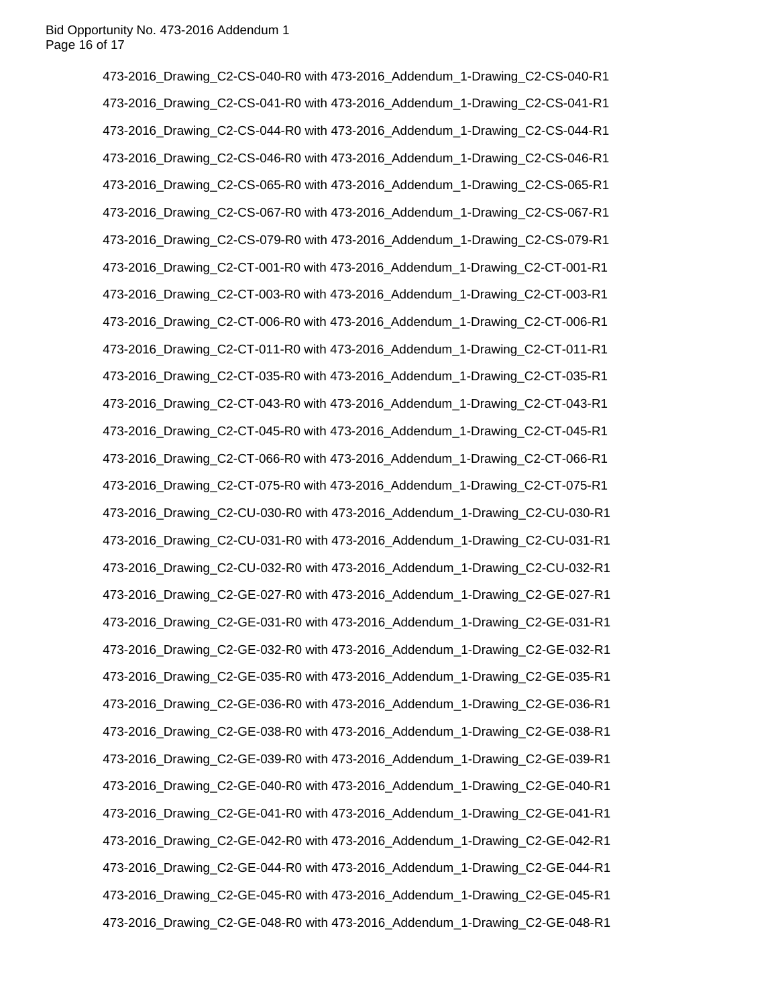473-2016\_Drawing\_C2-CS-040-R0 with 473-2016\_Addendum\_1-Drawing\_C2-CS-040-R1 473-2016\_Drawing\_C2-CS-041-R0 with 473-2016\_Addendum\_1-Drawing\_C2-CS-041-R1 473-2016\_Drawing\_C2-CS-044-R0 with 473-2016\_Addendum\_1-Drawing\_C2-CS-044-R1 473-2016\_Drawing\_C2-CS-046-R0 with 473-2016\_Addendum\_1-Drawing\_C2-CS-046-R1 473-2016\_Drawing\_C2-CS-065-R0 with 473-2016\_Addendum\_1-Drawing\_C2-CS-065-R1 473-2016\_Drawing\_C2-CS-067-R0 with 473-2016\_Addendum\_1-Drawing\_C2-CS-067-R1 473-2016\_Drawing\_C2-CS-079-R0 with 473-2016\_Addendum\_1-Drawing\_C2-CS-079-R1 473-2016\_Drawing\_C2-CT-001-R0 with 473-2016\_Addendum\_1-Drawing\_C2-CT-001-R1 473-2016\_Drawing\_C2-CT-003-R0 with 473-2016\_Addendum\_1-Drawing\_C2-CT-003-R1 473-2016\_Drawing\_C2-CT-006-R0 with 473-2016\_Addendum\_1-Drawing\_C2-CT-006-R1 473-2016\_Drawing\_C2-CT-011-R0 with 473-2016\_Addendum\_1-Drawing\_C2-CT-011-R1 473-2016\_Drawing\_C2-CT-035-R0 with 473-2016\_Addendum\_1-Drawing\_C2-CT-035-R1 473-2016\_Drawing\_C2-CT-043-R0 with 473-2016\_Addendum\_1-Drawing\_C2-CT-043-R1 473-2016\_Drawing\_C2-CT-045-R0 with 473-2016\_Addendum\_1-Drawing\_C2-CT-045-R1 473-2016\_Drawing\_C2-CT-066-R0 with 473-2016\_Addendum\_1-Drawing\_C2-CT-066-R1 473-2016\_Drawing\_C2-CT-075-R0 with 473-2016\_Addendum\_1-Drawing\_C2-CT-075-R1 473-2016\_Drawing\_C2-CU-030-R0 with 473-2016\_Addendum\_1-Drawing\_C2-CU-030-R1 473-2016\_Drawing\_C2-CU-031-R0 with 473-2016\_Addendum\_1-Drawing\_C2-CU-031-R1 473-2016\_Drawing\_C2-CU-032-R0 with 473-2016\_Addendum\_1-Drawing\_C2-CU-032-R1 473-2016\_Drawing\_C2-GE-027-R0 with 473-2016\_Addendum\_1-Drawing\_C2-GE-027-R1 473-2016\_Drawing\_C2-GE-031-R0 with 473-2016\_Addendum\_1-Drawing\_C2-GE-031-R1 473-2016\_Drawing\_C2-GE-032-R0 with 473-2016\_Addendum\_1-Drawing\_C2-GE-032-R1 473-2016\_Drawing\_C2-GE-035-R0 with 473-2016\_Addendum\_1-Drawing\_C2-GE-035-R1 473-2016\_Drawing\_C2-GE-036-R0 with 473-2016\_Addendum\_1-Drawing\_C2-GE-036-R1 473-2016\_Drawing\_C2-GE-038-R0 with 473-2016\_Addendum\_1-Drawing\_C2-GE-038-R1 473-2016\_Drawing\_C2-GE-039-R0 with 473-2016\_Addendum\_1-Drawing\_C2-GE-039-R1 473-2016\_Drawing\_C2-GE-040-R0 with 473-2016\_Addendum\_1-Drawing\_C2-GE-040-R1 473-2016\_Drawing\_C2-GE-041-R0 with 473-2016\_Addendum\_1-Drawing\_C2-GE-041-R1 473-2016\_Drawing\_C2-GE-042-R0 with 473-2016\_Addendum\_1-Drawing\_C2-GE-042-R1 473-2016\_Drawing\_C2-GE-044-R0 with 473-2016\_Addendum\_1-Drawing\_C2-GE-044-R1 473-2016\_Drawing\_C2-GE-045-R0 with 473-2016\_Addendum\_1-Drawing\_C2-GE-045-R1 473-2016\_Drawing\_C2-GE-048-R0 with 473-2016\_Addendum\_1-Drawing\_C2-GE-048-R1